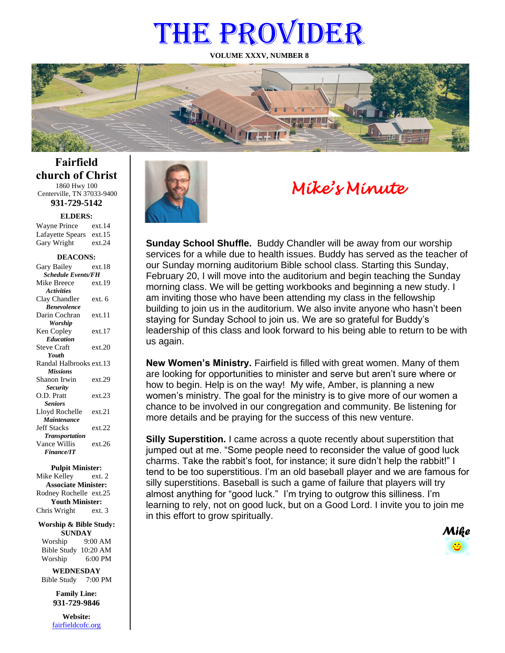# THE PROVIDER

**VOLUME XXXV, NUMBER 8**



**Fairfield church of Christ** 1860 Hwy 100 Centerville, TN 37033-9400

**931-729-5142**

**ELDERS:**

Gary Wright ext.24 Wayne Prince ext.14 Lafayette Spears ext.15

#### **DEACONS:**

| Gary Bailey                      | ext.18 |  |
|----------------------------------|--------|--|
| <b>Schedule Events/FH</b>        |        |  |
| Mike Breece                      | ext.19 |  |
| <b>Activities</b>                |        |  |
| Clay Chandler                    | ext. 6 |  |
| <b><i><u>Renevolence</u></i></b> |        |  |
| Darin Cochran                    | ext.11 |  |
| Worship                          |        |  |
| Ken Copley                       | ext.17 |  |
| <b>Education</b>                 |        |  |
| <b>Steve Craft</b>               | ext.20 |  |
| Youth                            |        |  |
| Randal Halbrooks ext.13          |        |  |
| <b>Missions</b>                  |        |  |
| Shanon Irwin                     | ext.29 |  |
| <b>Security</b>                  |        |  |
| O.D. Pratt                       | ext.23 |  |
| <b>Seniors</b>                   |        |  |
| Lloyd Rochelle                   | ext.21 |  |
| Maintenance                      |        |  |
| <b>Jeff Stacks</b>               | ext.22 |  |
| <b>Transportation</b>            |        |  |
| Vance Willis                     | ext.26 |  |
| <b>Finance/IT</b>                |        |  |
|                                  |        |  |

#### **Pulpit Minister:**

Mike Kelley ext. 2 **Associate Minister:** Rodney Rochelle ext.25 **Youth Minister:** Chris Wright ext. 3

#### **Worship & Bible Study: SUNDAY**

Worship 9:00 AM Bible Study 10:20 AM Worship 6:00 PM

**WEDNESDAY** Bible Study 7:00 PM

> **Family Line: 931-729-9846**

**Website:** [fairfieldcofc.org](file:///C:/Users/RickJoyce/Documents/Fairfield%20Website%20Files/fairfieldchurchofchrist.org)



# *Mike's Minute*

**Sunday School Shuffle.** Buddy Chandler will be away from our worship services for a while due to health issues. Buddy has served as the teacher of our Sunday morning auditorium Bible school class. Starting this Sunday, February 20, I will move into the auditorium and begin teaching the Sunday morning class. We will be getting workbooks and beginning a new study. I am inviting those who have been attending my class in the fellowship building to join us in the auditorium. We also invite anyone who hasn't been staying for Sunday School to join us. We are so grateful for Buddy's leadership of this class and look forward to his being able to return to be with us again.

**New Women's Ministry.** Fairfield is filled with great women. Many of them are looking for opportunities to minister and serve but aren't sure where or how to begin. Help is on the way! My wife, Amber, is planning a new women's ministry. The goal for the ministry is to give more of our women a chance to be involved in our congregation and community. Be listening for more details and be praying for the success of this new venture.

**Silly Superstition.** I came across a quote recently about superstition that jumped out at me. "Some people need to reconsider the value of good luck charms. Take the rabbit's foot, for instance; it sure didn't help the rabbit!" I tend to be too superstitious. I'm an old baseball player and we are famous for silly superstitions. Baseball is such a game of failure that players will try almost anything for "good luck." I'm trying to outgrow this silliness. I'm learning to rely, not on good luck, but on a Good Lord. I invite you to join me in this effort to grow spiritually.

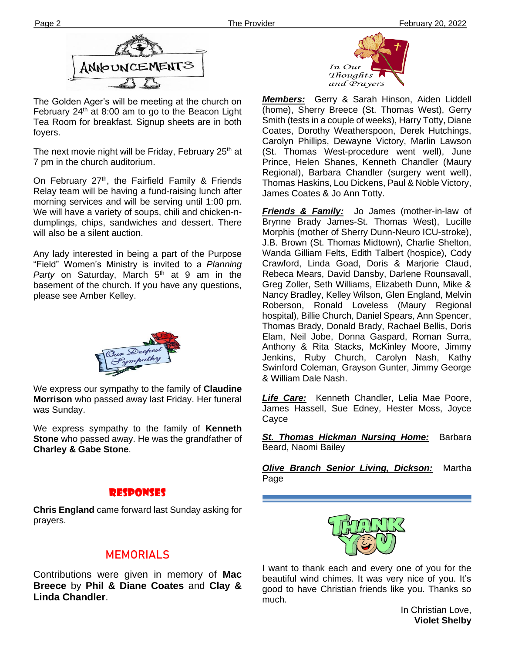

The Golden Ager's will be meeting at the church on February  $24<sup>th</sup>$  at 8:00 am to go to the Beacon Light Tea Room for breakfast. Signup sheets are in both foyers.

7 pm in the church auditorium. The next movie night will be Friday, February 25<sup>th</sup> at

On February  $27<sup>th</sup>$ , the Fairfield Family & Friends Relay team will be having a fund-raising lunch after morning services and will be serving until 1:00 pm. We will have a variety of soups, chili and chicken-ndumplings, chips, sandwiches and dessert. There will also be a silent auction.

Any lady interested in being a part of the Purpose "Field" Women's Ministry is invited to a *Planning*  Party on Saturday, March 5<sup>th</sup> at 9 am in the basement of the church. If you have any questions, please see Amber Kelley.



We express our sympathy to the family of **Claudine Morrison** who passed away last Friday. Her funeral was Sunday.

We express sympathy to the family of **Kenneth Stone** who passed away. He was the grandfather of **Charley & Gabe Stone**.

## Responses

**Chris England** came forward last Sunday asking for prayers.

# **MEMORIALS**

Contributions were given in memory of **Mac Breece** by **Phil & Diane Coates** and **Clay & Linda Chandler**.



*Members:* Gerry & Sarah Hinson, Aiden Liddell (home), Sherry Breece (St. Thomas West), Gerry Smith (tests in a couple of weeks), Harry Totty, Diane Coates, Dorothy Weatherspoon, Derek Hutchings, Carolyn Phillips, Dewayne Victory, Marlin Lawson (St. Thomas West-procedure went well), June Prince, Helen Shanes, Kenneth Chandler (Maury Regional), Barbara Chandler (surgery went well), Thomas Haskins, Lou Dickens, Paul & Noble Victory, James Coates & Jo Ann Totty.

*Friends & Family:* Jo James (mother-in-law of Brynne Brady James-St. Thomas West), Lucille Morphis (mother of Sherry Dunn-Neuro ICU-stroke), J.B. Brown (St. Thomas Midtown), Charlie Shelton, Wanda Gilliam Felts, Edith Talbert (hospice), Cody Crawford, Linda Goad, Doris & Marjorie Claud, Rebeca Mears, David Dansby, Darlene Rounsavall, Greg Zoller, Seth Williams, Elizabeth Dunn, Mike & Nancy Bradley, Kelley Wilson, Glen England, Melvin Roberson, Ronald Loveless (Maury Regional hospital), Billie Church, Daniel Spears, Ann Spencer, Thomas Brady, Donald Brady, Rachael Bellis, Doris Elam, Neil Jobe, Donna Gaspard, Roman Surra, Anthony & Rita Stacks, McKinley Moore, Jimmy Jenkins, Ruby Church, Carolyn Nash, Kathy Swinford Coleman, Grayson Gunter, Jimmy George & William Dale Nash.

*Life Care:* Kenneth Chandler, Lelia Mae Poore, James Hassell, Sue Edney, Hester Moss, Joyce Cayce

*St. Thomas Hickman Nursing Home:* Barbara Beard, Naomi Bailey

*Olive Branch Senior Living, Dickson:* Martha Page



I want to thank each and every one of you for the beautiful wind chimes. It was very nice of you. It's good to have Christian friends like you. Thanks so much.

In Christian Love, **Violet Shelby**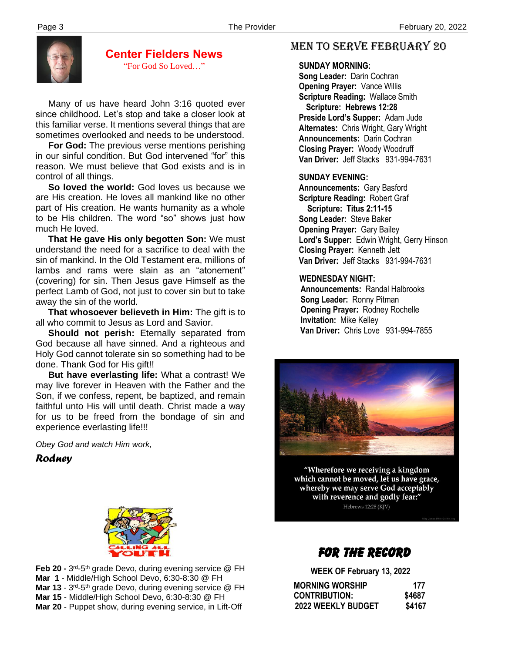

**Center Fielders News** "For God So Loved…"

 Many of us have heard John 3:16 quoted ever since childhood. Let's stop and take a closer look at this familiar verse. It mentions several things that are sometimes overlooked and needs to be understood.

 **For God:** The previous verse mentions perishing in our sinful condition. But God intervened "for" this reason. We must believe that God exists and is in control of all things.

 **So loved the world:** God loves us because we are His creation. He loves all mankind like no other part of His creation. He wants humanity as a whole to be His children. The word "so" shows just how much He loved.

 **That He gave His only begotten Son:** We must understand the need for a sacrifice to deal with the sin of mankind. In the Old Testament era, millions of lambs and rams were slain as an "atonement" (covering) for sin. Then Jesus gave Himself as the perfect Lamb of God, not just to cover sin but to take away the sin of the world.

 **That whosoever believeth in Him:** The gift is to all who commit to Jesus as Lord and Savior.

 **Should not perish:** Eternally separated from God because all have sinned. And a righteous and Holy God cannot tolerate sin so something had to be done. Thank God for His gift!!

 **But have everlasting life:** What a contrast! We may live forever in Heaven with the Father and the Son, if we confess, repent, be baptized, and remain faithful unto His will until death. Christ made a way for us to be freed from the bondage of sin and experience everlasting life!!!

*Obey God and watch Him work,*

*Rodney*



Mar 13 - 3<sup>rd</sup>-5<sup>th</sup> grade Devo, during evening service @ FH **Feb 20 -** 3<sup>rd</sup>-5<sup>th</sup> grade Devo, during evening service @ FH **Mar 1** - Middle/High School Devo, 6:30-8:30 @ FH **Mar 15** - Middle/High School Devo, 6:30-8:30 @ FH **Mar 20** - Puppet show, during evening service, in Lift-Off

# MEN TO SERVE February 20

#### **SUNDAY MORNING:**

**Song Leader:** Darin Cochran  **Opening Prayer:** Vance Willis **Scripture Reading:** Wallace Smith  **Scripture: Hebrews 12:28 Preside Lord's Supper:** Adam Jude  **Alternates:** Chris Wright, Gary Wright  **Announcements:** Darin Cochran  **Closing Prayer:** Woody Woodruff **Van Driver:** Jeff Stacks 931-994-7631

#### **SUNDAY EVENING:**

**Announcements:** Gary Basford **Scripture Reading:** Robert Graf  **Scripture: Titus 2:11-15 Song Leader:** Steve Baker **Opening Prayer:** Gary Bailey **Lord's Supper:** Edwin Wright, Gerry Hinson **Closing Prayer:** Kenneth Jett **Van Driver:** Jeff Stacks 931-994-7631

#### **WEDNESDAY NIGHT:**

**Announcements:** Randal Halbrooks **Song Leader:** Ronny Pitman **Opening Prayer:** Rodney Rochelle **Invitation:** Mike Kelley  **Van Driver:** Chris Love 931-994-7855



"Wherefore we receiving a kingdom which cannot be moved, let us have grace, whereby we may serve God acceptably with reverence and godly fear:" Hebrews 12:28 (KJV)

# FOR THE RECORD

**WEEK OF February 13, 2022**

| <b>MORNING WORSHIP</b>    | 177    |
|---------------------------|--------|
| <b>CONTRIBUTION:</b>      | \$4687 |
| <b>2022 WEEKLY BUDGET</b> | \$4167 |